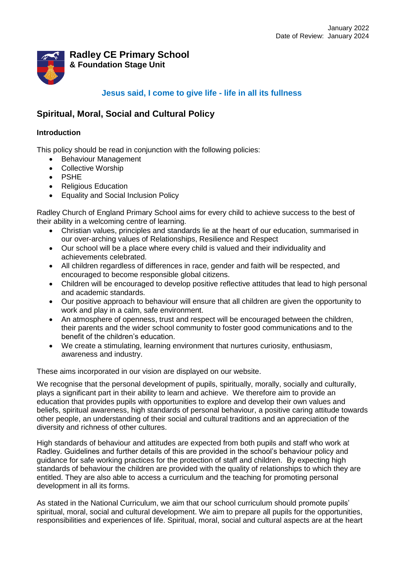

### **Radley CE Primary School & Foundation Stage Unit**

## **Jesus said, I come to give life - life in all its fullness**

# **Spiritual, Moral, Social and Cultural Policy**

#### **Introduction**

This policy should be read in conjunction with the following policies:

- Behaviour Management
- Collective Worship
- PSHE
- Religious Education
- Equality and Social Inclusion Policy

Radley Church of England Primary School aims for every child to achieve success to the best of their ability in a welcoming centre of learning.

- Christian values, principles and standards lie at the heart of our education, summarised in our over-arching values of Relationships, Resilience and Respect
- Our school will be a place where every child is valued and their individuality and achievements celebrated.
- All children regardless of differences in race, gender and faith will be respected, and encouraged to become responsible global citizens.
- Children will be encouraged to develop positive reflective attitudes that lead to high personal and academic standards.
- Our positive approach to behaviour will ensure that all children are given the opportunity to work and play in a calm, safe environment.
- An atmosphere of openness, trust and respect will be encouraged between the children, their parents and the wider school community to foster good communications and to the benefit of the children's education.
- We create a stimulating, learning environment that nurtures curiosity, enthusiasm, awareness and industry.

These aims incorporated in our vision are displayed on our website.

We recognise that the personal development of pupils, spiritually, morally, socially and culturally, plays a significant part in their ability to learn and achieve. We therefore aim to provide an education that provides pupils with opportunities to explore and develop their own values and beliefs, spiritual awareness, high standards of personal behaviour, a positive caring attitude towards other people, an understanding of their social and cultural traditions and an appreciation of the diversity and richness of other cultures.

High standards of behaviour and attitudes are expected from both pupils and staff who work at Radley. Guidelines and further details of this are provided in the school's behaviour policy and guidance for safe working practices for the protection of staff and children. By expecting high standards of behaviour the children are provided with the quality of relationships to which they are entitled. They are also able to access a curriculum and the teaching for promoting personal development in all its forms.

As stated in the National Curriculum, we aim that our school curriculum should promote pupils' spiritual, moral, social and cultural development. We aim to prepare all pupils for the opportunities, responsibilities and experiences of life. Spiritual, moral, social and cultural aspects are at the heart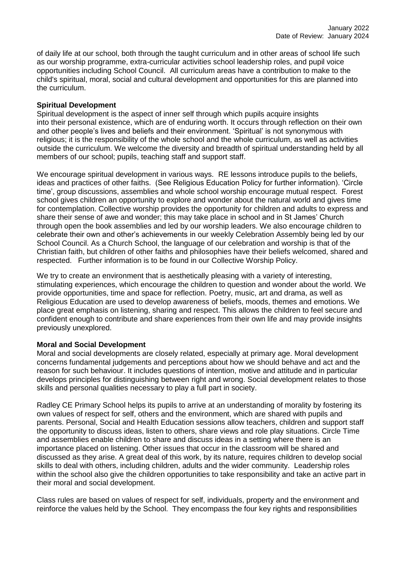of daily life at our school, both through the taught curriculum and in other areas of school life such as our worship programme, extra-curricular activities school leadership roles, and pupil voice opportunities including School Council. All curriculum areas have a contribution to make to the child's spiritual, moral, social and cultural development and opportunities for this are planned into the curriculum.

#### **Spiritual Development**

Spiritual development is the aspect of inner self through which pupils acquire insights into their personal existence, which are of enduring worth. It occurs through reflection on their own and other people's lives and beliefs and their environment. 'Spiritual' is not synonymous with religious; it is the responsibility of the whole school and the whole curriculum, as well as activities outside the curriculum. We welcome the diversity and breadth of spiritual understanding held by all members of our school; pupils, teaching staff and support staff.

We encourage spiritual development in various ways. RE lessons introduce pupils to the beliefs, ideas and practices of other faiths. (See Religious Education Policy for further information). 'Circle time', group discussions, assemblies and whole school worship encourage mutual respect. Forest school gives children an opportunity to explore and wonder about the natural world and gives time for contemplation. Collective worship provides the opportunity for children and adults to express and share their sense of awe and wonder; this may take place in school and in St James' Church through open the book assemblies and led by our worship leaders. We also encourage children to celebrate their own and other's achievements in our weekly Celebration Assembly being led by our School Council. As a Church School, the language of our celebration and worship is that of the Christian faith, but children of other faiths and philosophies have their beliefs welcomed, shared and respected. Further information is to be found in our Collective Worship Policy.

We try to create an environment that is aesthetically pleasing with a variety of interesting, stimulating experiences, which encourage the children to question and wonder about the world. We provide opportunities, time and space for reflection. Poetry, music, art and drama, as well as Religious Education are used to develop awareness of beliefs, moods, themes and emotions. We place great emphasis on listening, sharing and respect. This allows the children to feel secure and confident enough to contribute and share experiences from their own life and may provide insights previously unexplored.

#### **Moral and Social Development**

Moral and social developments are closely related, especially at primary age. Moral development concerns fundamental judgements and perceptions about how we should behave and act and the reason for such behaviour. It includes questions of intention, motive and attitude and in particular develops principles for distinguishing between right and wrong. Social development relates to those skills and personal qualities necessary to play a full part in society.

Radley CE Primary School helps its pupils to arrive at an understanding of morality by fostering its own values of respect for self, others and the environment, which are shared with pupils and parents. Personal, Social and Health Education sessions allow teachers, children and support staff the opportunity to discuss ideas, listen to others, share views and role play situations. Circle Time and assemblies enable children to share and discuss ideas in a setting where there is an importance placed on listening. Other issues that occur in the classroom will be shared and discussed as they arise. A great deal of this work, by its nature, requires children to develop social skills to deal with others, including children, adults and the wider community. Leadership roles within the school also give the children opportunities to take responsibility and take an active part in their moral and social development.

Class rules are based on values of respect for self, individuals, property and the environment and reinforce the values held by the School. They encompass the four key rights and responsibilities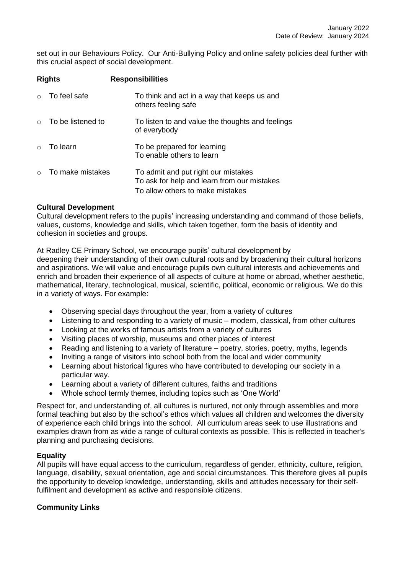set out in our Behaviours Policy. Our Anti-Bullying Policy and online safety policies deal further with this crucial aspect of social development.

| <b>Rights</b> |                   | <b>Responsibilities</b>                                                                                                |  |
|---------------|-------------------|------------------------------------------------------------------------------------------------------------------------|--|
| $\cap$        | To feel safe      | To think and act in a way that keeps us and<br>others feeling safe                                                     |  |
| $\cap$        | To be listened to | To listen to and value the thoughts and feelings<br>of everybody                                                       |  |
| $\circ$       | To learn          | To be prepared for learning<br>To enable others to learn                                                               |  |
| $\bigcap$     | To make mistakes  | To admit and put right our mistakes<br>To ask for help and learn from our mistakes<br>To allow others to make mistakes |  |

#### **Cultural Development**

Cultural development refers to the pupils' increasing understanding and command of those beliefs, values, customs, knowledge and skills, which taken together, form the basis of identity and cohesion in societies and groups.

At Radley CE Primary School, we encourage pupils' cultural development by deepening their understanding of their own cultural roots and by broadening their cultural horizons and aspirations. We will value and encourage pupils own cultural interests and achievements and enrich and broaden their experience of all aspects of culture at home or abroad, whether aesthetic, mathematical, literary, technological, musical, scientific, political, economic or religious. We do this in a variety of ways. For example:

- Observing special days throughout the year, from a variety of cultures
- Listening to and responding to a variety of music modern, classical, from other cultures
- Looking at the works of famous artists from a variety of cultures
- Visiting places of worship, museums and other places of interest
- Reading and listening to a variety of literature poetry, stories, poetry, myths, legends
- Inviting a range of visitors into school both from the local and wider community
- Learning about historical figures who have contributed to developing our society in a particular way.
- Learning about a variety of different cultures, faiths and traditions
- Whole school termly themes, including topics such as 'One World'

Respect for, and understanding of, all cultures is nurtured, not only through assemblies and more formal teaching but also by the school's ethos which values all children and welcomes the diversity of experience each child brings into the school. All curriculum areas seek to use illustrations and examples drawn from as wide a range of cultural contexts as possible. This is reflected in teacher's planning and purchasing decisions.

#### **Equality**

All pupils will have equal access to the curriculum, regardless of gender, ethnicity, culture, religion, language, disability, sexual orientation, age and social circumstances. This therefore gives all pupils the opportunity to develop knowledge, understanding, skills and attitudes necessary for their selffulfilment and development as active and responsible citizens.

#### **Community Links**